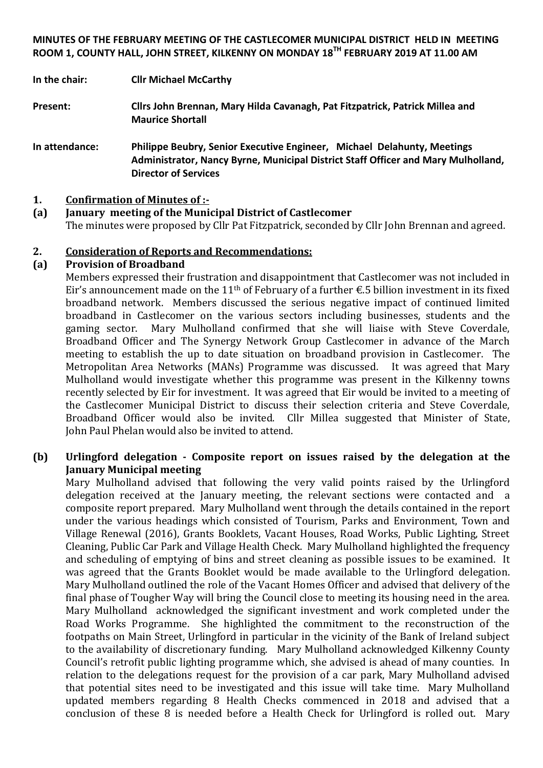#### **MINUTES OF THE FEBRUARY MEETING OF THE CASTLECOMER MUNICIPAL DISTRICT HELD IN MEETING ROOM 1, COUNTY HALL, JOHN STREET, KILKENNY ON MONDAY 18TH FEBRUARY 2019 AT 11.00 AM**

**In the chair: Cllr Michael McCarthy**

**Present: Cllrs John Brennan, Mary Hilda Cavanagh, Pat Fitzpatrick, Patrick Millea and Maurice Shortall**

**In attendance: Philippe Beubry, Senior Executive Engineer, Michael Delahunty, Meetings Administrator, Nancy Byrne, Municipal District Staff Officer and Mary Mulholland, Director of Services**

#### **1. Confirmation of Minutes of :-**

#### **(a) January meeting of the Municipal District of Castlecomer**  The minutes were proposed by Cllr Pat Fitzpatrick, seconded by Cllr John Brennan and agreed.

#### **2. Consideration of Reports and Recommendations:**

#### **(a) Provision of Broadband**

Members expressed their frustration and disappointment that Castlecomer was not included in Eir's announcement made on the 11<sup>th</sup> of February of a further  $\epsilon$ .5 billion investment in its fixed broadband network. Members discussed the serious negative impact of continued limited broadband in Castlecomer on the various sectors including businesses, students and the gaming sector. Mary Mulholland confirmed that she will liaise with Steve Coverdale, Broadband Officer and The Synergy Network Group Castlecomer in advance of the March meeting to establish the up to date situation on broadband provision in Castlecomer. The Metropolitan Area Networks (MANs) Programme was discussed. It was agreed that Mary Mulholland would investigate whether this programme was present in the Kilkenny towns recently selected by Eir for investment. It was agreed that Eir would be invited to a meeting of the Castlecomer Municipal District to discuss their selection criteria and Steve Coverdale, Broadband Officer would also be invited. Cllr Millea suggested that Minister of State, John Paul Phelan would also be invited to attend.

#### **(b) Urlingford delegation - Composite report on issues raised by the delegation at the January Municipal meeting**

Mary Mulholland advised that following the very valid points raised by the Urlingford delegation received at the January meeting, the relevant sections were contacted and a composite report prepared. Mary Mulholland went through the details contained in the report under the various headings which consisted of Tourism, Parks and Environment, Town and Village Renewal (2016), Grants Booklets, Vacant Houses, Road Works, Public Lighting, Street Cleaning, Public Car Park and Village Health Check. Mary Mulholland highlighted the frequency and scheduling of emptying of bins and street cleaning as possible issues to be examined. It was agreed that the Grants Booklet would be made available to the Urlingford delegation. Mary Mulholland outlined the role of the Vacant Homes Officer and advised that delivery of the final phase of Tougher Way will bring the Council close to meeting its housing need in the area. Mary Mulholland acknowledged the significant investment and work completed under the Road Works Programme. She highlighted the commitment to the reconstruction of the footpaths on Main Street, Urlingford in particular in the vicinity of the Bank of Ireland subject to the availability of discretionary funding. Mary Mulholland acknowledged Kilkenny County Council's retrofit public lighting programme which, she advised is ahead of many counties. In relation to the delegations request for the provision of a car park, Mary Mulholland advised that potential sites need to be investigated and this issue will take time. Mary Mulholland updated members regarding 8 Health Checks commenced in 2018 and advised that a conclusion of these 8 is needed before a Health Check for Urlingford is rolled out. Mary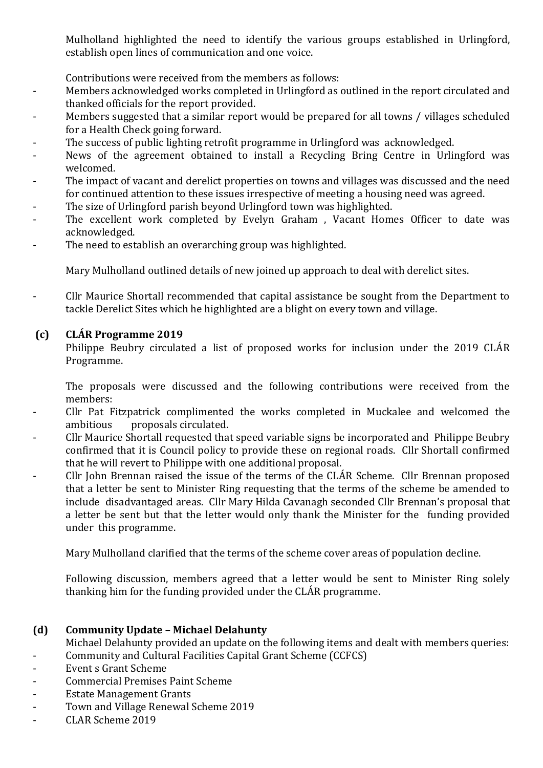Mulholland highlighted the need to identify the various groups established in Urlingford, establish open lines of communication and one voice.

Contributions were received from the members as follows:

- Members acknowledged works completed in Urlingford as outlined in the report circulated and thanked officials for the report provided.
- Members suggested that a similar report would be prepared for all towns / villages scheduled for a Health Check going forward.
- The success of public lighting retrofit programme in Urlingford was acknowledged.
- News of the agreement obtained to install a Recycling Bring Centre in Urlingford was welcomed.
- The impact of vacant and derelict properties on towns and villages was discussed and the need for continued attention to these issues irrespective of meeting a housing need was agreed.
- The size of Urlingford parish beyond Urlingford town was highlighted.
- The excellent work completed by Evelyn Graham, Vacant Homes Officer to date was acknowledged.
- The need to establish an overarching group was highlighted.

Mary Mulholland outlined details of new joined up approach to deal with derelict sites.

- Cllr Maurice Shortall recommended that capital assistance be sought from the Department to tackle Derelict Sites which he highlighted are a blight on every town and village.

# **(c) CLÁR Programme 2019**

Philippe Beubry circulated a list of proposed works for inclusion under the 2019 CLÁR Programme.

The proposals were discussed and the following contributions were received from the members:

- Cllr Pat Fitzpatrick complimented the works completed in Muckalee and welcomed the ambitious proposals circulated.
- Cllr Maurice Shortall requested that speed variable signs be incorporated and Philippe Beubry confirmed that it is Council policy to provide these on regional roads. Cllr Shortall confirmed that he will revert to Philippe with one additional proposal.
- Cllr John Brennan raised the issue of the terms of the CLÁR Scheme. Cllr Brennan proposed that a letter be sent to Minister Ring requesting that the terms of the scheme be amended to include disadvantaged areas. Cllr Mary Hilda Cavanagh seconded Cllr Brennan's proposal that a letter be sent but that the letter would only thank the Minister for the funding provided under this programme.

Mary Mulholland clarified that the terms of the scheme cover areas of population decline.

Following discussion, members agreed that a letter would be sent to Minister Ring solely thanking him for the funding provided under the CLÁR programme.

# **(d) Community Update – Michael Delahunty**

Michael Delahunty provided an update on the following items and dealt with members queries: - Community and Cultural Facilities Capital Grant Scheme (CCFCS)

- Event s Grant Scheme
- Commercial Premises Paint Scheme
- Estate Management Grants
- Town and Village Renewal Scheme 2019
- CLAR Scheme 2019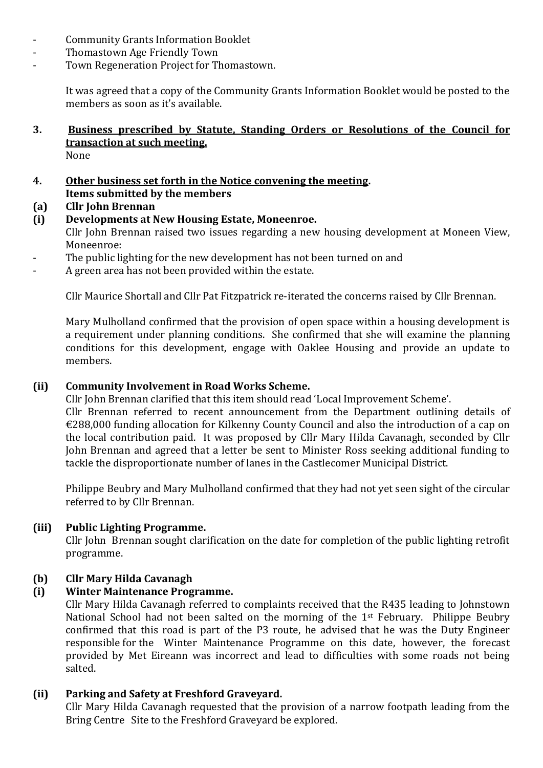- Community Grants Information Booklet
- Thomastown Age Friendly Town
- Town Regeneration Project for Thomastown.

It was agreed that a copy of the Community Grants Information Booklet would be posted to the members as soon as it's available.

#### **3. Business prescribed by Statute, Standing Orders or Resolutions of the Council for transaction at such meeting.** None

- **4. Other business set forth in the Notice convening the meeting. Items submitted by the members**
- **(a) Cllr John Brennan**
- **(i) Developments at New Housing Estate, Moneenroe.** Cllr John Brennan raised two issues regarding a new housing development at Moneen View, Moneenroe:
- The public lighting for the new development has not been turned on and
- A green area has not been provided within the estate.

Cllr Maurice Shortall and Cllr Pat Fitzpatrick re-iterated the concerns raised by Cllr Brennan.

Mary Mulholland confirmed that the provision of open space within a housing development is a requirement under planning conditions. She confirmed that she will examine the planning conditions for this development, engage with Oaklee Housing and provide an update to members.

#### **(ii) Community Involvement in Road Works Scheme.**

Cllr John Brennan clarified that this item should read 'Local Improvement Scheme'. Cllr Brennan referred to recent announcement from the Department outlining details of €288,000 funding allocation for Kilkenny County Council and also the introduction of a cap on the local contribution paid. It was proposed by Cllr Mary Hilda Cavanagh, seconded by Cllr John Brennan and agreed that a letter be sent to Minister Ross seeking additional funding to tackle the disproportionate number of lanes in the Castlecomer Municipal District.

Philippe Beubry and Mary Mulholland confirmed that they had not yet seen sight of the circular referred to by Cllr Brennan.

#### **(iii) Public Lighting Programme.**

Cllr John Brennan sought clarification on the date for completion of the public lighting retrofit programme.

# **(b) Cllr Mary Hilda Cavanagh**

# **(i) Winter Maintenance Programme.**

Cllr Mary Hilda Cavanagh referred to complaints received that the R435 leading to Johnstown National School had not been salted on the morning of the 1<sup>st</sup> February. Philippe Beubry confirmed that this road is part of the P3 route, he advised that he was the Duty Engineer responsible for the Winter Maintenance Programme on this date, however, the forecast provided by Met Eireann was incorrect and lead to difficulties with some roads not being salted.

# **(ii) Parking and Safety at Freshford Graveyard.**

Cllr Mary Hilda Cavanagh requested that the provision of a narrow footpath leading from the Bring Centre Site to the Freshford Graveyard be explored.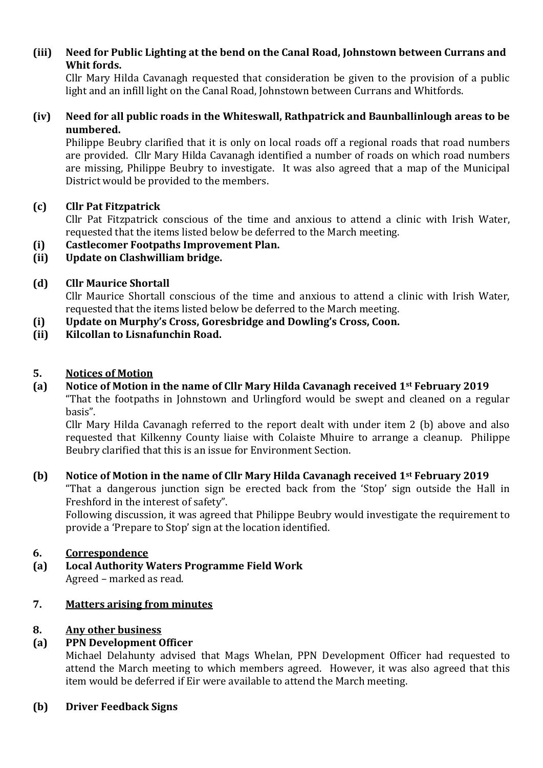# **(iii) Need for Public Lighting at the bend on the Canal Road, Johnstown between Currans and Whit fords.**

Cllr Mary Hilda Cavanagh requested that consideration be given to the provision of a public light and an infill light on the Canal Road, Johnstown between Currans and Whitfords.

#### **(iv) Need for all public roads in the Whiteswall, Rathpatrick and Baunballinlough areas to be numbered.**

Philippe Beubry clarified that it is only on local roads off a regional roads that road numbers are provided. Cllr Mary Hilda Cavanagh identified a number of roads on which road numbers are missing, Philippe Beubry to investigate. It was also agreed that a map of the Municipal District would be provided to the members.

# **(c) Cllr Pat Fitzpatrick**

Cllr Pat Fitzpatrick conscious of the time and anxious to attend a clinic with Irish Water, requested that the items listed below be deferred to the March meeting.

- **(i) Castlecomer Footpaths Improvement Plan.**
- **(ii) Update on Clashwilliam bridge.**

# **(d) Cllr Maurice Shortall**

Cllr Maurice Shortall conscious of the time and anxious to attend a clinic with Irish Water, requested that the items listed below be deferred to the March meeting.

- **(i) Update on Murphy's Cross, Goresbridge and Dowling's Cross, Coon.**
- **(ii) Kilcollan to Lisnafunchin Road.**

# **5. Notices of Motion**

**(a) Notice of Motion in the name of Cllr Mary Hilda Cavanagh received 1st February 2019** "That the footpaths in Johnstown and Urlingford would be swept and cleaned on a regular basis".

Cllr Mary Hilda Cavanagh referred to the report dealt with under item 2 (b) above and also requested that Kilkenny County liaise with Colaiste Mhuire to arrange a cleanup. Philippe Beubry clarified that this is an issue for Environment Section.

# **(b) Notice of Motion in the name of Cllr Mary Hilda Cavanagh received 1st February 2019**

"That a dangerous junction sign be erected back from the 'Stop' sign outside the Hall in Freshford in the interest of safety".

Following discussion, it was agreed that Philippe Beubry would investigate the requirement to provide a 'Prepare to Stop' sign at the location identified.

# **6. Correspondence**

**(a) Local Authority Waters Programme Field Work** Agreed – marked as read.

# **7. Matters arising from minutes**

# **8. Any other business**

# **(a) PPN Development Officer**

Michael Delahunty advised that Mags Whelan, PPN Development Officer had requested to attend the March meeting to which members agreed. However, it was also agreed that this item would be deferred if Eir were available to attend the March meeting.

# **(b) Driver Feedback Signs**